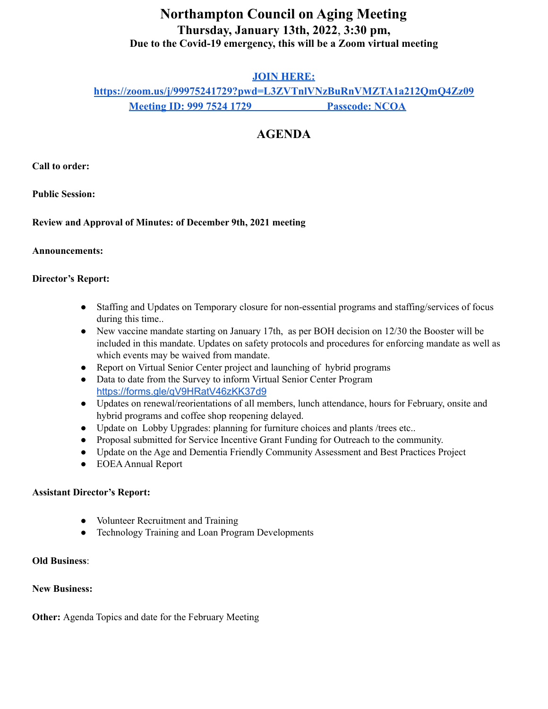# **Northampton Council on Aging Meeting Thursday, January 13th, 2022**, **3:30 pm, Due to the Covid-19 emergency, this will be a Zoom virtual meeting**

### **JOIN HERE:**

**<https://zoom.us/j/99975241729?pwd=L3ZVTnlVNzBuRnVMZTA1a212QmQ4Zz09> Meeting ID: 999 7524 1729 Passcode: NCOA**

## **AGENDA**

**Call to order:**

**Public Session:**

**Review and Approval of Minutes: of December 9th, 2021 meeting**

#### **Announcements:**

#### **Director's Report:**

- Staffing and Updates on Temporary closure for non-essential programs and staffing/services of focus during this time..
- New vaccine mandate starting on January 17th, as per BOH decision on 12/30 the Booster will be included in this mandate. Updates on safety protocols and procedures for enforcing mandate as well as which events may be waived from mandate.
- Report on Virtual Senior Center project and launching of hybrid programs
- Data to date from the Survey to inform Virtual Senior Center Program <https://forms.gle/qV9HRatV46zKK37d9>
- Updates on renewal/reorientations of all members, lunch attendance, hours for February, onsite and hybrid programs and coffee shop reopening delayed.
- Update on Lobby Upgrades: planning for furniture choices and plants /trees etc..
- Proposal submitted for Service Incentive Grant Funding for Outreach to the community.
- Update on the Age and Dementia Friendly Community Assessment and Best Practices Project
- EOEAAnnual Report

#### **Assistant Director's Report:**

- Volunteer Recruitment and Training
- Technology Training and Loan Program Developments

#### **Old Business**:

### **New Business:**

**Other:** Agenda Topics and date for the February Meeting